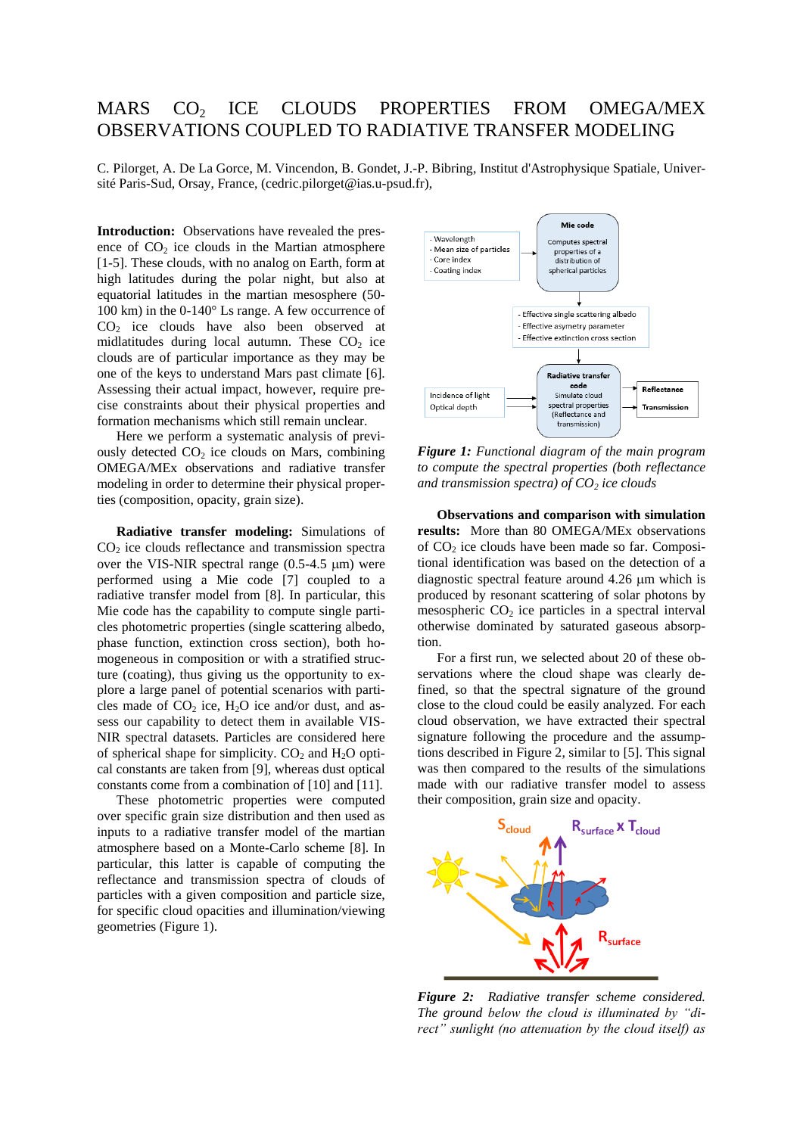## MARS CO<sub>2</sub> ICE CLOUDS PROPERTIES FROM OMEGA/MEX OBSERVATIONS COUPLED TO RADIATIVE TRANSFER MODELING

C. Pilorget, A. De La Gorce, M. Vincendon, B. Gondet, J.-P. Bibring, Institut d'Astrophysique Spatiale, Université Paris-Sud, Orsay, France, (cedric.pilorget@ias.u-psud.fr),

**Introduction:** Observations have revealed the presence of  $CO<sub>2</sub>$  ice clouds in the Martian atmosphere [1-5]. These clouds, with no analog on Earth, form at high latitudes during the polar night, but also at equatorial latitudes in the martian mesosphere (50- 100 km) in the 0-140° Ls range. A few occurrence of CO<sup>2</sup> ice clouds have also been observed at midlatitudes during local autumn. These  $CO<sub>2</sub>$  ice clouds are of particular importance as they may be one of the keys to understand Mars past climate [6]. Assessing their actual impact, however, require precise constraints about their physical properties and formation mechanisms which still remain unclear.

Here we perform a systematic analysis of previously detected  $CO<sub>2</sub>$  ice clouds on Mars, combining OMEGA/MEx observations and radiative transfer modeling in order to determine their physical properties (composition, opacity, grain size).

**Radiative transfer modeling:** Simulations of  $CO<sub>2</sub>$  ice clouds reflectance and transmission spectra over the VIS-NIR spectral range  $(0.5-4.5 \text{ nm})$  were performed using a Mie code [7] coupled to a radiative transfer model from [8]. In particular, this Mie code has the capability to compute single particles photometric properties (single scattering albedo, phase function, extinction cross section), both homogeneous in composition or with a stratified structure (coating), thus giving us the opportunity to explore a large panel of potential scenarios with particles made of  $CO<sub>2</sub>$  ice,  $H<sub>2</sub>O$  ice and/or dust, and assess our capability to detect them in available VIS-NIR spectral datasets. Particles are considered here of spherical shape for simplicity.  $CO<sub>2</sub>$  and  $H<sub>2</sub>O$  optical constants are taken from [9], whereas dust optical constants come from a combination of [10] and [11].

These photometric properties were computed over specific grain size distribution and then used as inputs to a radiative transfer model of the martian atmosphere based on a Monte-Carlo scheme [8]. In particular, this latter is capable of computing the reflectance and transmission spectra of clouds of particles with a given composition and particle size, for specific cloud opacities and illumination/viewing geometries (Figure 1).



*Figure 1: Functional diagram of the main program to compute the spectral properties (both reflectance and transmission spectra) of CO<sup>2</sup> ice clouds*

**Observations and comparison with simulation results:** More than 80 OMEGA/MEx observations of  $CO<sub>2</sub>$  ice clouds have been made so far. Compositional identification was based on the detection of a diagnostic spectral feature around  $4.26 \mu m$  which is produced by resonant scattering of solar photons by mesospheric  $CO<sub>2</sub>$  ice particles in a spectral interval otherwise dominated by saturated gaseous absorption.

For a first run, we selected about 20 of these observations where the cloud shape was clearly defined, so that the spectral signature of the ground close to the cloud could be easily analyzed. For each cloud observation, we have extracted their spectral signature following the procedure and the assumptions described in Figure 2, similar to [5]. This signal was then compared to the results of the simulations made with our radiative transfer model to assess their composition, grain size and opacity.



*Figure 2: Radiative transfer scheme considered. The ground below the cloud is illuminated by "direct" sunlight (no attenuation by the cloud itself) as*